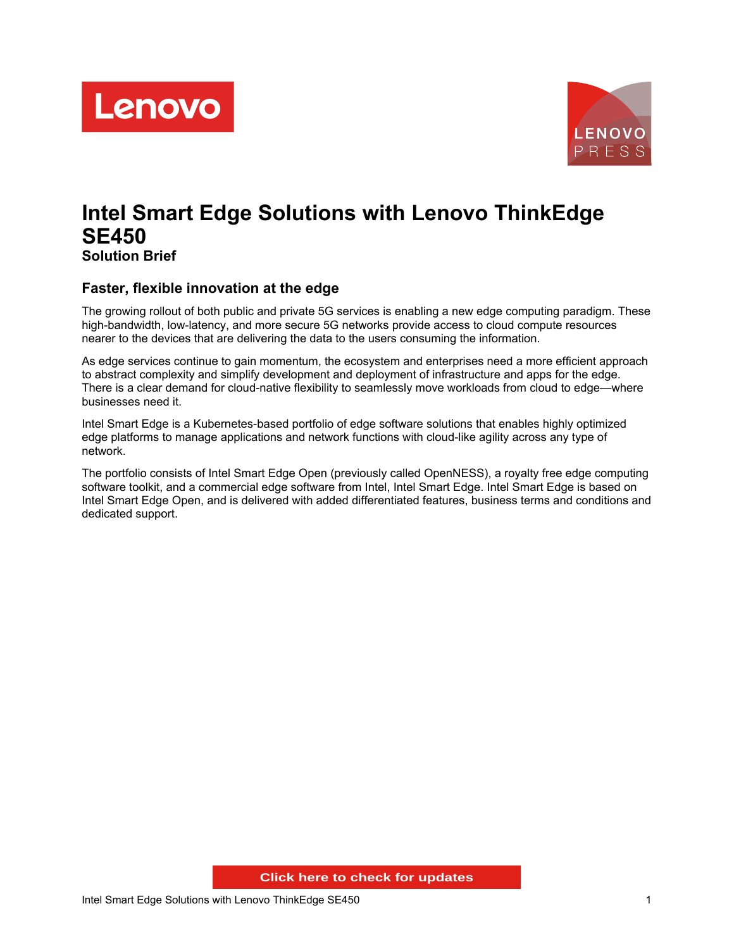



# **Intel Smart Edge Solutions with Lenovo ThinkEdge SE450 Solution Brief**

#### **Faster, flexible innovation at the edge**

The growing rollout of both public and private 5G services is enabling a new edge computing paradigm. These high-bandwidth, low-latency, and more secure 5G networks provide access to cloud compute resources nearer to the devices that are delivering the data to the users consuming the information.

As edge services continue to gain momentum, the ecosystem and enterprises need a more efficient approach to abstract complexity and simplify development and deployment of infrastructure and apps for the edge. There is a clear demand for cloud-native flexibility to seamlessly move workloads from cloud to edge—where businesses need it.

Intel Smart Edge is a Kubernetes-based portfolio of edge software solutions that enables highly optimized edge platforms to manage applications and network functions with cloud-like agility across any type of network.

The portfolio consists of Intel Smart Edge Open (previously called OpenNESS), a royalty free edge computing software toolkit, and a commercial edge software from Intel, Intel Smart Edge. Intel Smart Edge is based on Intel Smart Edge Open, and is delivered with added differentiated features, business terms and conditions and dedicated support.

**Click here to check for updates**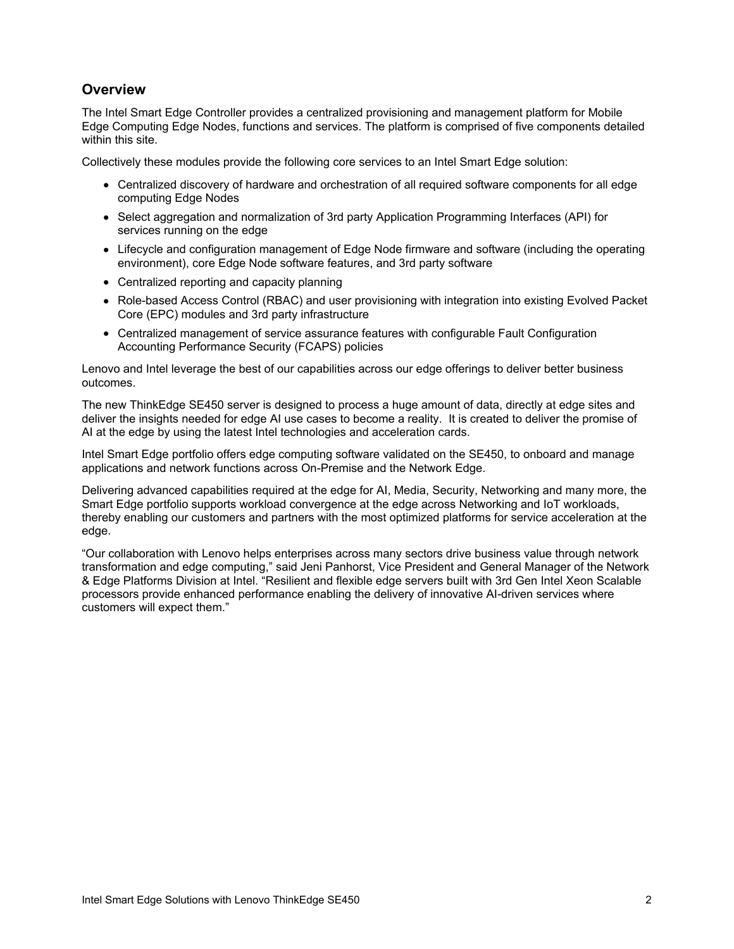# **Overview**

The Intel Smart Edge Controller provides a centralized provisioning and management platform for Mobile Edge Computing Edge Nodes, functions and services. The platform is comprised of five components detailed within this site.

Collectively these modules provide the following core services to an Intel Smart Edge solution:

- Centralized discovery of hardware and orchestration of all required software components for all edge computing Edge Nodes
- Select aggregation and normalization of 3rd party Application Programming Interfaces (API) for services running on the edge
- Lifecycle and configuration management of Edge Node firmware and software (including the operating environment), core Edge Node software features, and 3rd party software
- Centralized reporting and capacity planning
- Role-based Access Control (RBAC) and user provisioning with integration into existing Evolved Packet Core (EPC) modules and 3rd party infrastructure
- Centralized management of service assurance features with configurable Fault Configuration Accounting Performance Security (FCAPS) policies

Lenovo and Intel leverage the best of our capabilities across our edge offerings to deliver better business outcomes.

The new ThinkEdge SE450 server is designed to process a huge amount of data, directly at edge sites and deliver the insights needed for edge AI use cases to become a reality. It is created to deliver the promise of AI at the edge by using the latest Intel technologies and acceleration cards.

Intel Smart Edge portfolio offers edge computing software validated on the SE450, to onboard and manage applications and network functions across On-Premise and the Network Edge.

Delivering advanced capabilities required at the edge for AI, Media, Security, Networking and many more, the Smart Edge portfolio supports workload convergence at the edge across Networking and IoT workloads, thereby enabling our customers and partners with the most optimized platforms for service acceleration at the edge.

"Our collaboration with Lenovo helps enterprises across many sectors drive business value through network transformation and edge computing," said Jeni Panhorst, Vice President and General Manager of the Network & Edge Platforms Division at Intel. "Resilient and flexible edge servers built with 3rd Gen Intel Xeon Scalable processors provide enhanced performance enabling the delivery of innovative AI-driven services where customers will expect them."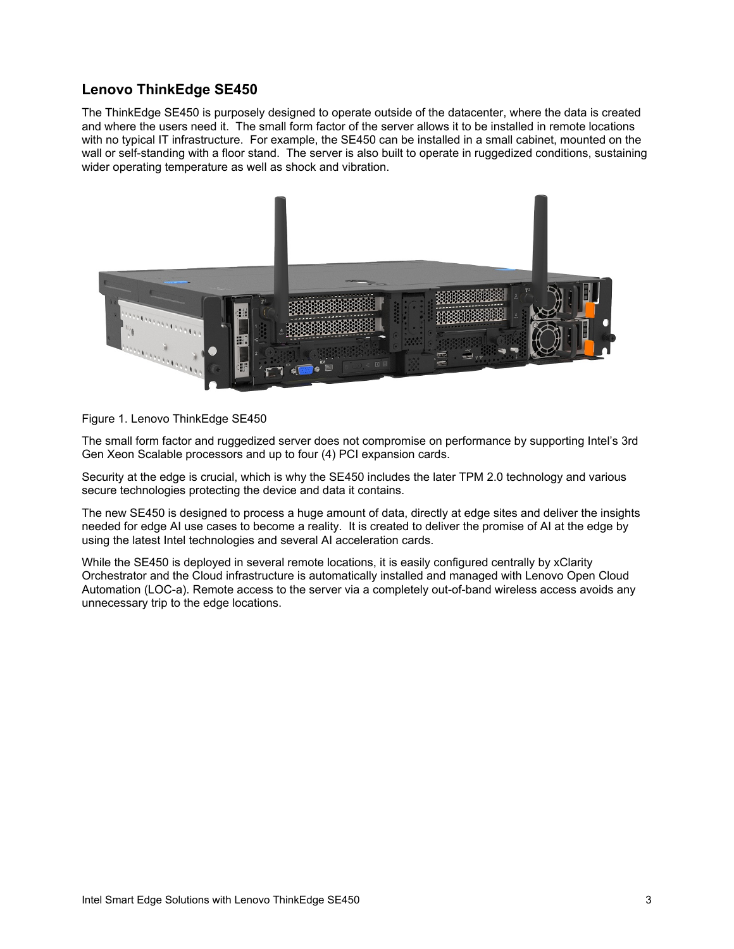# **Lenovo ThinkEdge SE450**

The ThinkEdge SE450 is purposely designed to operate outside of the datacenter, where the data is created and where the users need it. The small form factor of the server allows it to be installed in remote locations with no typical IT infrastructure. For example, the SE450 can be installed in a small cabinet, mounted on the wall or self-standing with a floor stand. The server is also built to operate in ruggedized conditions, sustaining wider operating temperature as well as shock and vibration.



#### Figure 1. Lenovo ThinkEdge SE450

The small form factor and ruggedized server does not compromise on performance by supporting Intel's 3rd Gen Xeon Scalable processors and up to four (4) PCI expansion cards.

Security at the edge is crucial, which is why the SE450 includes the later TPM 2.0 technology and various secure technologies protecting the device and data it contains.

The new SE450 is designed to process a huge amount of data, directly at edge sites and deliver the insights needed for edge AI use cases to become a reality. It is created to deliver the promise of AI at the edge by using the latest Intel technologies and several AI acceleration cards.

While the SE450 is deployed in several remote locations, it is easily configured centrally by xClarity Orchestrator and the Cloud infrastructure is automatically installed and managed with Lenovo Open Cloud Automation (LOC-a). Remote access to the server via a completely out-of-band wireless access avoids any unnecessary trip to the edge locations.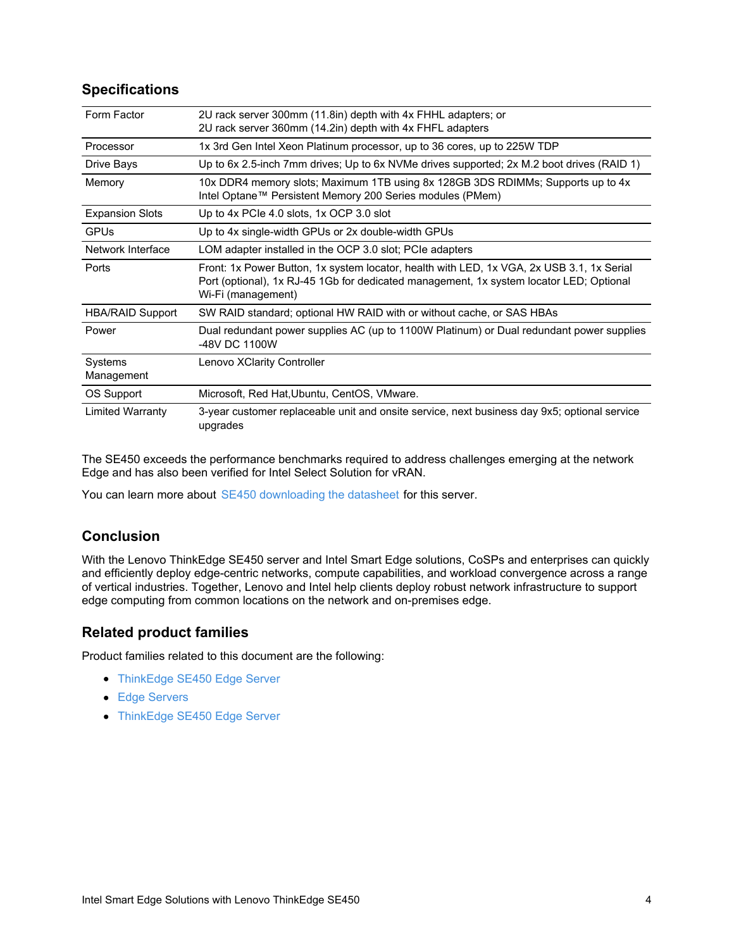# **Specifications**

| Form Factor             | 2U rack server 300mm (11.8in) depth with 4x FHHL adapters; or                                                                                                                                              |
|-------------------------|------------------------------------------------------------------------------------------------------------------------------------------------------------------------------------------------------------|
|                         | 2U rack server 360mm (14.2in) depth with 4x FHFL adapters                                                                                                                                                  |
| Processor               | 1x 3rd Gen Intel Xeon Platinum processor, up to 36 cores, up to 225W TDP                                                                                                                                   |
| Drive Bays              | Up to 6x 2.5-inch 7mm drives; Up to 6x NVMe drives supported; 2x M.2 boot drives (RAID 1)                                                                                                                  |
| Memory                  | 10x DDR4 memory slots; Maximum 1TB using 8x 128GB 3DS RDIMMs; Supports up to 4x<br>Intel Optane™ Persistent Memory 200 Series modules (PMem)                                                               |
| <b>Expansion Slots</b>  | Up to 4x PCIe 4.0 slots, 1x OCP 3.0 slot                                                                                                                                                                   |
| <b>GPUs</b>             | Up to 4x single-width GPUs or 2x double-width GPUs                                                                                                                                                         |
| Network Interface       | LOM adapter installed in the OCP 3.0 slot; PCIe adapters                                                                                                                                                   |
| Ports                   | Front: 1x Power Button, 1x system locator, health with LED, 1x VGA, 2x USB 3.1, 1x Serial<br>Port (optional), 1x RJ-45 1Gb for dedicated management, 1x system locator LED; Optional<br>Wi-Fi (management) |
| <b>HBA/RAID Support</b> | SW RAID standard; optional HW RAID with or without cache, or SAS HBAs                                                                                                                                      |
| Power                   | Dual redundant power supplies AC (up to 1100W Platinum) or Dual redundant power supplies<br>-48V DC 1100W                                                                                                  |
| Systems<br>Management   | Lenovo XClarity Controller                                                                                                                                                                                 |
| OS Support              | Microsoft, Red Hat, Ubuntu, CentOS, VMware.                                                                                                                                                                |
| <b>Limited Warranty</b> | 3-year customer replaceable unit and onsite service, next business day 9x5; optional service<br>upgrades                                                                                                   |

The SE450 exceeds the performance benchmarks required to address challenges emerging at the network Edge and has also been verified for Intel Select Solution for vRAN.

You can learn more about SE450 [downloading](http://lenovopress.com/ds0135) the datasheet for this server.

# **Conclusion**

With the Lenovo ThinkEdge SE450 server and Intel Smart Edge solutions, CoSPs and enterprises can quickly and efficiently deploy edge-centric networks, compute capabilities, and workload convergence across a range of vertical industries. Together, Lenovo and Intel help clients deploy robust network infrastructure to support edge computing from common locations on the network and on-premises edge.

#### **Related product families**

Product families related to this document are the following:

- [ThinkEdge](https://lenovopress.com/servers/thinkedge/se450) SE450 Edge Server
- Edge [Servers](https://lenovopress.com/servers/edge)
- [ThinkEdge](https://lenovopress.com/servers/thinksystem/se450) SE450 Edge Server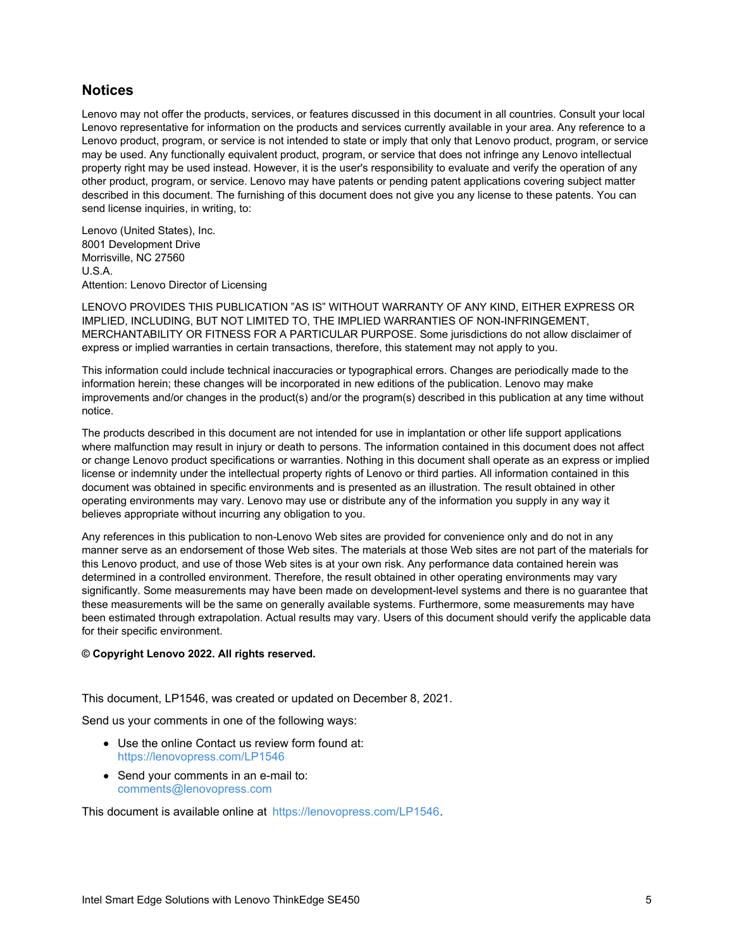#### **Notices**

Lenovo may not offer the products, services, or features discussed in this document in all countries. Consult your local Lenovo representative for information on the products and services currently available in your area. Any reference to a Lenovo product, program, or service is not intended to state or imply that only that Lenovo product, program, or service may be used. Any functionally equivalent product, program, or service that does not infringe any Lenovo intellectual property right may be used instead. However, it is the user's responsibility to evaluate and verify the operation of any other product, program, or service. Lenovo may have patents or pending patent applications covering subject matter described in this document. The furnishing of this document does not give you any license to these patents. You can send license inquiries, in writing, to:

Lenovo (United States), Inc. 8001 Development Drive Morrisville, NC 27560 U.S.A. Attention: Lenovo Director of Licensing

LENOVO PROVIDES THIS PUBLICATION "AS IS" WITHOUT WARRANTY OF ANY KIND, EITHER EXPRESS OR IMPLIED, INCLUDING, BUT NOT LIMITED TO, THE IMPLIED WARRANTIES OF NON-INFRINGEMENT, MERCHANTABILITY OR FITNESS FOR A PARTICULAR PURPOSE. Some jurisdictions do not allow disclaimer of express or implied warranties in certain transactions, therefore, this statement may not apply to you.

This information could include technical inaccuracies or typographical errors. Changes are periodically made to the information herein; these changes will be incorporated in new editions of the publication. Lenovo may make improvements and/or changes in the product(s) and/or the program(s) described in this publication at any time without notice.

The products described in this document are not intended for use in implantation or other life support applications where malfunction may result in injury or death to persons. The information contained in this document does not affect or change Lenovo product specifications or warranties. Nothing in this document shall operate as an express or implied license or indemnity under the intellectual property rights of Lenovo or third parties. All information contained in this document was obtained in specific environments and is presented as an illustration. The result obtained in other operating environments may vary. Lenovo may use or distribute any of the information you supply in any way it believes appropriate without incurring any obligation to you.

Any references in this publication to non-Lenovo Web sites are provided for convenience only and do not in any manner serve as an endorsement of those Web sites. The materials at those Web sites are not part of the materials for this Lenovo product, and use of those Web sites is at your own risk. Any performance data contained herein was determined in a controlled environment. Therefore, the result obtained in other operating environments may vary significantly. Some measurements may have been made on development-level systems and there is no guarantee that these measurements will be the same on generally available systems. Furthermore, some measurements may have been estimated through extrapolation. Actual results may vary. Users of this document should verify the applicable data for their specific environment.

#### **© Copyright Lenovo 2022. All rights reserved.**

This document, LP1546, was created or updated on December 8, 2021.

Send us your comments in one of the following ways:

- Use the online Contact us review form found at: <https://lenovopress.com/LP1546>
- Send your comments in an e-mail to: [comments@lenovopress.com](mailto:comments@lenovopress.com?subject=Feedback for LP1546)

This document is available online at <https://lenovopress.com/LP1546>.